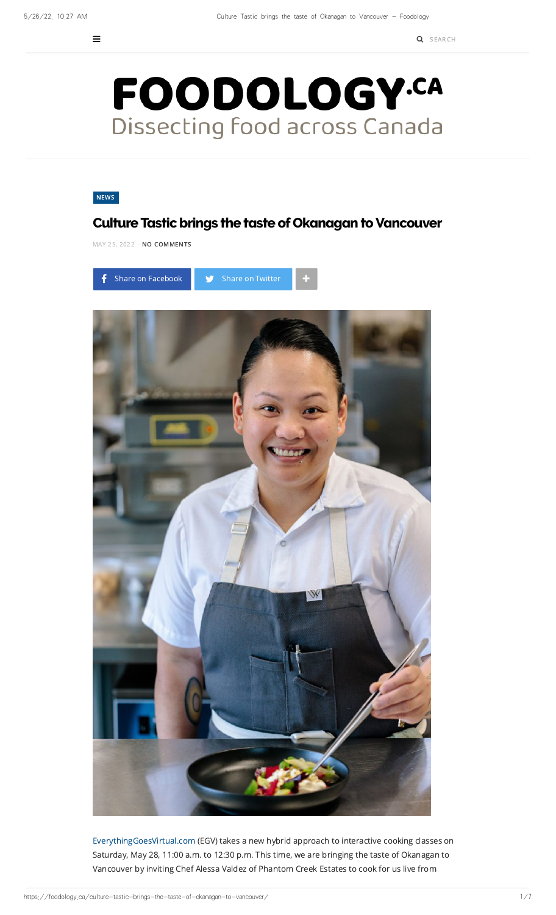

## [NEWS](https://foodology.ca/category/news/)

## **Culture Tastic brings the taste of Okanagan to Vancouver**

MAY 25, [2022](https://foodology.ca/culture-tastic-brings-the-taste-of-okanagan-to-vancouver/) - NO COMMENTS





[EverythingGoesVirtual.com](https://www.everythinggoesvirtual.com/) (EGV) takes a new hybrid approach to interactive cooking classes on Saturday, May 28, 11:00 a.m. to 12:30 p.m. This time, we are bringing the taste of Okanagan to Vancouver by inviting Chef Alessa Valdez of Phantom Creek Estates to cook for us live from